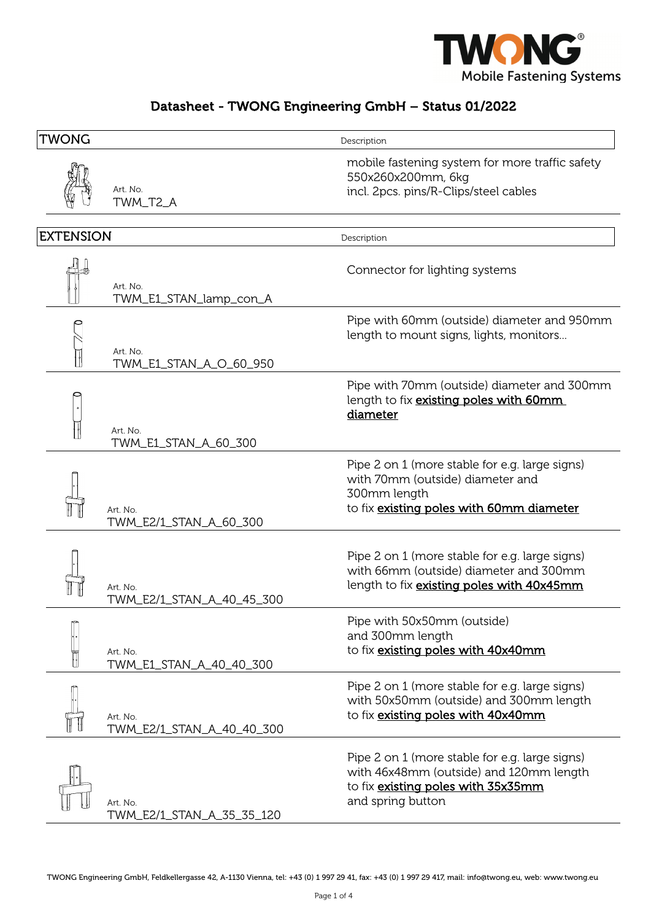

## Datasheet - TWONG Engineering GmbH – Status 01/2022

| <b>TWONG</b>     |                                       | Description                                                                                                                                          |
|------------------|---------------------------------------|------------------------------------------------------------------------------------------------------------------------------------------------------|
|                  | Art. No.<br>TWM_T2_A                  | mobile fastening system for more traffic safety<br>550x260x200mm, 6kg<br>incl. 2pcs. pins/R-Clips/steel cables                                       |
| <b>EXTENSION</b> |                                       | Description                                                                                                                                          |
|                  | Art. No.<br>TWM_E1_STAN_lamp_con_A    | Connector for lighting systems                                                                                                                       |
|                  | Art. No.<br>TWM_E1_STAN_A_O_60_950    | Pipe with 60mm (outside) diameter and 950mm<br>length to mount signs, lights, monitors                                                               |
|                  | Art. No.<br>TWM_E1_STAN_A_60_300      | Pipe with 70mm (outside) diameter and 300mm<br>length to fix existing poles with 60mm<br>diameter                                                    |
|                  | Art. No.<br>TWM_E2/1_STAN_A_60_300    | Pipe 2 on 1 (more stable for e.g. large signs)<br>with 70mm (outside) diameter and<br>300mm length<br>to fix existing poles with 60mm diameter       |
|                  | Art. No.<br>TWM_E2/1_STAN_A_40_45_300 | Pipe 2 on 1 (more stable for e.g. large signs)<br>with 66mm (outside) diameter and 300mm<br>length to fix existing poles with 40x45mm                |
|                  | Art. No.<br>TWM_E1_STAN_A_40_40_300   | Pipe with 50x50mm (outside)<br>and 300mm length<br>to fix existing poles with 40x40mm                                                                |
|                  | Art. No.<br>TWM_E2/1_STAN_A_40_40_300 | Pipe 2 on 1 (more stable for e.g. large signs)<br>with 50x50mm (outside) and 300mm length<br>to fix existing poles with 40x40mm                      |
|                  | Art. No.<br>TWM_E2/1_STAN_A_35_35_120 | Pipe 2 on 1 (more stable for e.g. large signs)<br>with 46x48mm (outside) and 120mm length<br>to fix existing poles with 35x35mm<br>and spring button |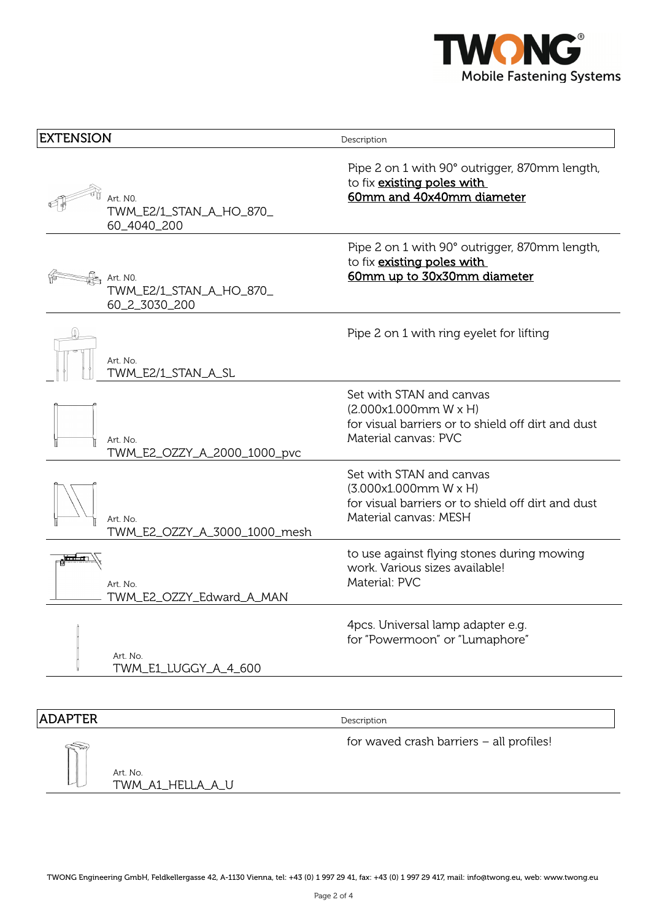

| EXTENSION                                                          | Description                                                                                                                      |
|--------------------------------------------------------------------|----------------------------------------------------------------------------------------------------------------------------------|
| Art. NO.<br>TWM_E2/1_STAN_A_HO_870_<br>60_4040_200                 | Pipe 2 on 1 with 90° outrigger, 870mm length,<br>to fix existing poles with<br>60mm and 40x40mm diameter                         |
| $\frac{1}{2}$ Art. NO.<br>TWM_E2/1_STAN_A_HO_870_<br>60_2_3030_200 | Pipe 2 on 1 with 90° outrigger, 870mm length,<br>to fix existing poles with<br>60mm up to 30x30mm diameter                       |
| Art. No.<br>TWM_E2/1_STAN_A_SL                                     | Pipe 2 on 1 with ring eyelet for lifting                                                                                         |
| Art. No.<br>TWM_E2_OZZY_A_2000_1000_pvc                            | Set with STAN and canvas<br>(2.000x1.000mm W x H)<br>for visual barriers or to shield off dirt and dust<br>Material canvas: PVC  |
| Art. No.<br>TWM_E2_OZZY_A_3000_1000_mesh                           | Set with STAN and canvas<br>(3.000x1.000mm W x H)<br>for visual barriers or to shield off dirt and dust<br>Material canvas: MESH |
| Art. No.<br>TWM_E2_OZZY_Edward_A_MAN                               | to use against flying stones during mowing<br>work. Various sizes available!<br>Material: PVC                                    |
| Art. No.<br>TWM_E1_LUGGY_A_4_600                                   | 4pcs. Universal lamp adapter e.g.<br>for "Powermoon" or "Lumaphore"                                                              |

## **ADAPTER** Description

for waved crash barriers – all profiles!

Art. No. TWM\_A1\_HELLA\_A\_U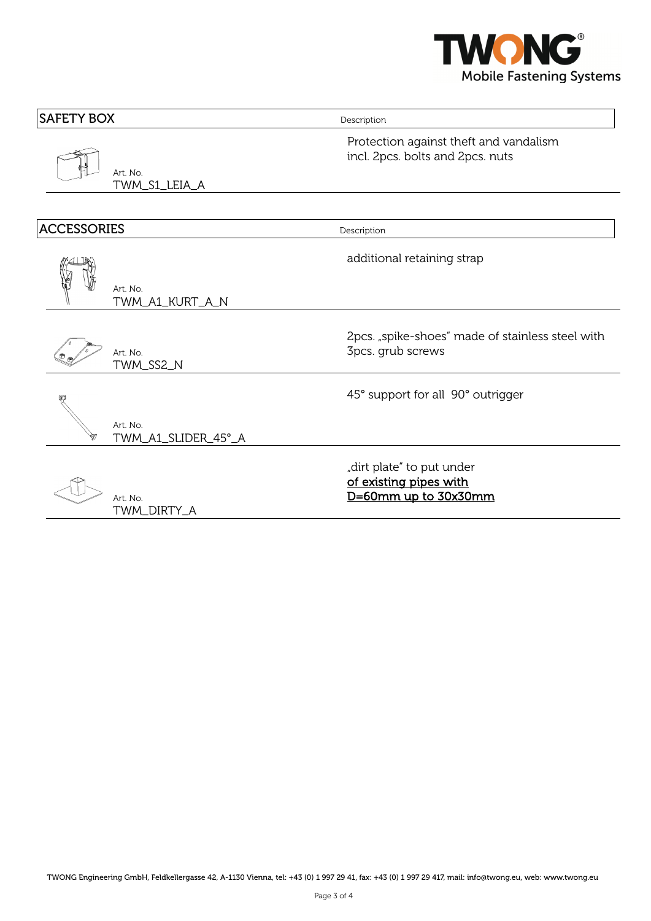

| Description                                                                 |  |
|-----------------------------------------------------------------------------|--|
| Protection against theft and vandalism<br>incl. 2pcs. bolts and 2pcs. nuts  |  |
|                                                                             |  |
| Description                                                                 |  |
| additional retaining strap                                                  |  |
|                                                                             |  |
| 2pcs. "spike-shoes" made of stainless steel with<br>3pcs. grub screws       |  |
| 45° support for all 90° outrigger                                           |  |
|                                                                             |  |
| "dirt plate" to put under<br>of existing pipes with<br>D=60mm up to 30x30mm |  |
|                                                                             |  |